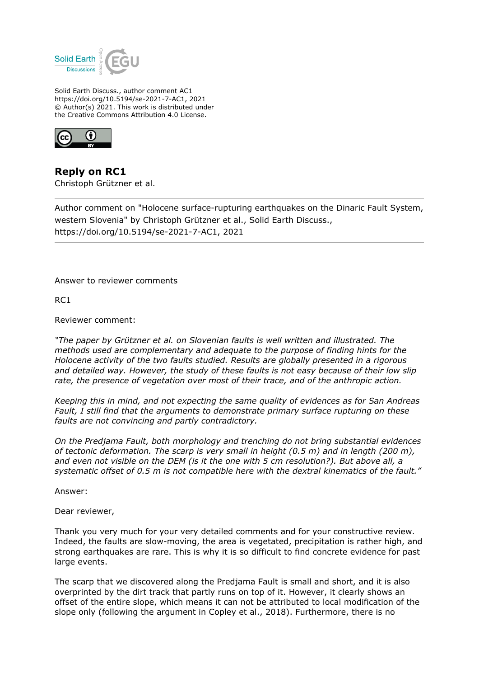

Solid Earth Discuss., author comment AC1 https://doi.org/10.5194/se-2021-7-AC1, 2021 © Author(s) 2021. This work is distributed under the Creative Commons Attribution 4.0 License.



**Reply on RC1** Christoph Grützner et al.

Author comment on "Holocene surface-rupturing earthquakes on the Dinaric Fault System, western Slovenia" by Christoph Grützner et al., Solid Earth Discuss., https://doi.org/10.5194/se-2021-7-AC1, 2021

Answer to reviewer comments

RC1

Reviewer comment:

*"The paper by Grützner et al. on Slovenian faults is well written and illustrated. The methods used are complementary and adequate to the purpose of finding hints for the Holocene activity of the two faults studied. Results are globally presented in a rigorous and detailed way. However, the study of these faults is not easy because of their low slip rate, the presence of vegetation over most of their trace, and of the anthropic action.*

*Keeping this in mind, and not expecting the same quality of evidences as for San Andreas Fault, I still find that the arguments to demonstrate primary surface rupturing on these faults are not convincing and partly contradictory.*

*On the Predjama Fault, both morphology and trenching do not bring substantial evidences of tectonic deformation. The scarp is very small in height (0.5 m) and in length (200 m), and even not visible on the DEM (is it the one with 5 cm resolution?). But above all, a systematic offset of 0.5 m is not compatible here with the dextral kinematics of the fault."*

Answer:

Dear reviewer,

Thank you very much for your very detailed comments and for your constructive review. Indeed, the faults are slow-moving, the area is vegetated, precipitation is rather high, and strong earthquakes are rare. This is why it is so difficult to find concrete evidence for past large events.

The scarp that we discovered along the Predjama Fault is small and short, and it is also overprinted by the dirt track that partly runs on top of it. However, it clearly shows an offset of the entire slope, which means it can not be attributed to local modification of the slope only (following the argument in Copley et al., 2018). Furthermore, there is no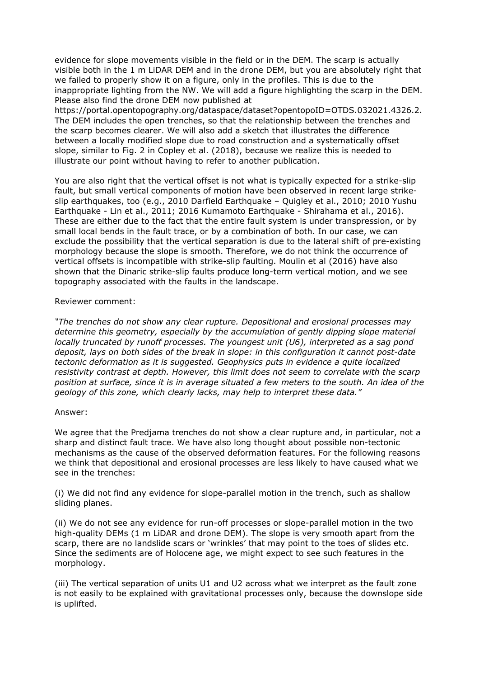evidence for slope movements visible in the field or in the DEM. The scarp is actually visible both in the 1 m LiDAR DEM and in the drone DEM, but you are absolutely right that we failed to properly show it on a figure, only in the profiles. This is due to the inappropriate lighting from the NW. We will add a figure highlighting the scarp in the DEM. Please also find the drone DEM now published at

https://portal.opentopography.org/dataspace/dataset?opentopoID=OTDS.032021.4326.2. The DEM includes the open trenches, so that the relationship between the trenches and the scarp becomes clearer. We will also add a sketch that illustrates the difference between a locally modified slope due to road construction and a systematically offset slope, similar to Fig. 2 in Copley et al. (2018), because we realize this is needed to illustrate our point without having to refer to another publication.

You are also right that the vertical offset is not what is typically expected for a strike-slip fault, but small vertical components of motion have been observed in recent large strikeslip earthquakes, too (e.g., 2010 Darfield Earthquake – Quigley et al., 2010; 2010 Yushu Earthquake - Lin et al., 2011; 2016 Kumamoto Earthquake - Shirahama et al., 2016). These are either due to the fact that the entire fault system is under transpression, or by small local bends in the fault trace, or by a combination of both. In our case, we can exclude the possibility that the vertical separation is due to the lateral shift of pre-existing morphology because the slope is smooth. Therefore, we do not think the occurrence of vertical offsets is incompatible with strike-slip faulting. Moulin et al (2016) have also shown that the Dinaric strike-slip faults produce long-term vertical motion, and we see topography associated with the faults in the landscape.

# Reviewer comment:

*"The trenches do not show any clear rupture. Depositional and erosional processes may determine this geometry, especially by the accumulation of gently dipping slope material locally truncated by runoff processes. The youngest unit (U6), interpreted as a sag pond deposit, lays on both sides of the break in slope: in this configuration it cannot post-date tectonic deformation as it is suggested. Geophysics puts in evidence a quite localized resistivity contrast at depth. However, this limit does not seem to correlate with the scarp position at surface, since it is in average situated a few meters to the south. An idea of the geology of this zone, which clearly lacks, may help to interpret these data."*

# Answer:

We agree that the Predjama trenches do not show a clear rupture and, in particular, not a sharp and distinct fault trace. We have also long thought about possible non-tectonic mechanisms as the cause of the observed deformation features. For the following reasons we think that depositional and erosional processes are less likely to have caused what we see in the trenches:

(i) We did not find any evidence for slope-parallel motion in the trench, such as shallow sliding planes.

(ii) We do not see any evidence for run-off processes or slope-parallel motion in the two high-quality DEMs (1 m LiDAR and drone DEM). The slope is very smooth apart from the scarp, there are no landslide scars or 'wrinkles' that may point to the toes of slides etc. Since the sediments are of Holocene age, we might expect to see such features in the morphology.

(iii) The vertical separation of units U1 and U2 across what we interpret as the fault zone is not easily to be explained with gravitational processes only, because the downslope side is uplifted.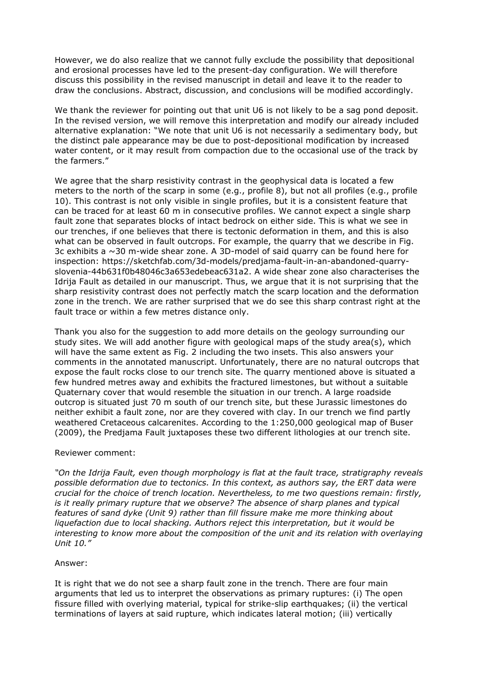However, we do also realize that we cannot fully exclude the possibility that depositional and erosional processes have led to the present-day configuration. We will therefore discuss this possibility in the revised manuscript in detail and leave it to the reader to draw the conclusions. Abstract, discussion, and conclusions will be modified accordingly.

We thank the reviewer for pointing out that unit U6 is not likely to be a sag pond deposit. In the revised version, we will remove this interpretation and modify our already included alternative explanation: "We note that unit U6 is not necessarily a sedimentary body, but the distinct pale appearance may be due to post-depositional modification by increased water content, or it may result from compaction due to the occasional use of the track by the farmers."

We agree that the sharp resistivity contrast in the geophysical data is located a few meters to the north of the scarp in some (e.g., profile 8), but not all profiles (e.g., profile 10). This contrast is not only visible in single profiles, but it is a consistent feature that can be traced for at least 60 m in consecutive profiles. We cannot expect a single sharp fault zone that separates blocks of intact bedrock on either side. This is what we see in our trenches, if one believes that there is tectonic deformation in them, and this is also what can be observed in fault outcrops. For example, the quarry that we describe in Fig. 3c exhibits a  $\sim$  30 m-wide shear zone. A 3D-model of said quarry can be found here for inspection: https://sketchfab.com/3d-models/predjama-fault-in-an-abandoned-quarryslovenia-44b631f0b48046c3a653edebeac631a2. A wide shear zone also characterises the Idrija Fault as detailed in our manuscript. Thus, we argue that it is not surprising that the sharp resistivity contrast does not perfectly match the scarp location and the deformation zone in the trench. We are rather surprised that we do see this sharp contrast right at the fault trace or within a few metres distance only.

Thank you also for the suggestion to add more details on the geology surrounding our study sites. We will add another figure with geological maps of the study area(s), which will have the same extent as Fig. 2 including the two insets. This also answers your comments in the annotated manuscript. Unfortunately, there are no natural outcrops that expose the fault rocks close to our trench site. The quarry mentioned above is situated a few hundred metres away and exhibits the fractured limestones, but without a suitable Quaternary cover that would resemble the situation in our trench. A large roadside outcrop is situated just 70 m south of our trench site, but these Jurassic limestones do neither exhibit a fault zone, nor are they covered with clay. In our trench we find partly weathered Cretaceous calcarenites. According to the 1:250,000 geological map of Buser (2009), the Predjama Fault juxtaposes these two different lithologies at our trench site.

# Reviewer comment:

*"On the Idrija Fault, even though morphology is flat at the fault trace, stratigraphy reveals possible deformation due to tectonics. In this context, as authors say, the ERT data were crucial for the choice of trench location. Nevertheless, to me two questions remain: firstly, is it really primary rupture that we observe? The absence of sharp planes and typical features of sand dyke (Unit 9) rather than fill fissure make me more thinking about liquefaction due to local shacking. Authors reject this interpretation, but it would be interesting to know more about the composition of the unit and its relation with overlaying Unit 10."*

# Answer:

It is right that we do not see a sharp fault zone in the trench. There are four main arguments that led us to interpret the observations as primary ruptures: (i) The open fissure filled with overlying material, typical for strike-slip earthquakes; (ii) the vertical terminations of layers at said rupture, which indicates lateral motion; (iii) vertically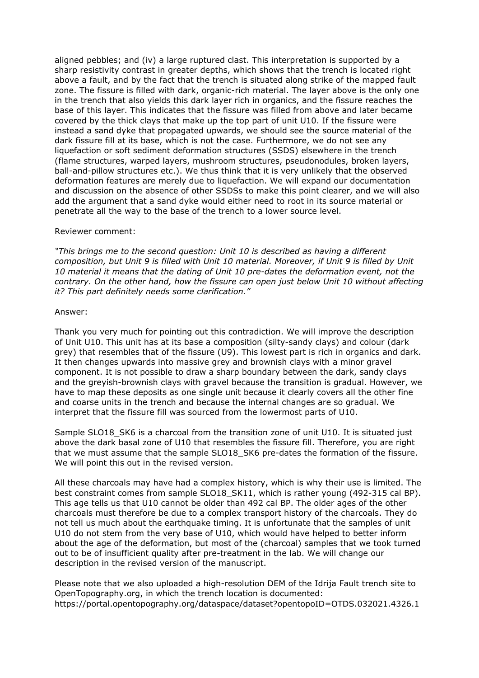aligned pebbles; and (iv) a large ruptured clast. This interpretation is supported by a sharp resistivity contrast in greater depths, which shows that the trench is located right above a fault, and by the fact that the trench is situated along strike of the mapped fault zone. The fissure is filled with dark, organic-rich material. The layer above is the only one in the trench that also yields this dark layer rich in organics, and the fissure reaches the base of this layer. This indicates that the fissure was filled from above and later became covered by the thick clays that make up the top part of unit U10. If the fissure were instead a sand dyke that propagated upwards, we should see the source material of the dark fissure fill at its base, which is not the case. Furthermore, we do not see any liquefaction or soft sediment deformation structures (SSDS) elsewhere in the trench (flame structures, warped layers, mushroom structures, pseudonodules, broken layers, ball-and-pillow structures etc.). We thus think that it is very unlikely that the observed deformation features are merely due to liquefaction. We will expand our documentation and discussion on the absence of other SSDSs to make this point clearer, and we will also add the argument that a sand dyke would either need to root in its source material or penetrate all the way to the base of the trench to a lower source level.

### Reviewer comment:

*"This brings me to the second question: Unit 10 is described as having a different composition, but Unit 9 is filled with Unit 10 material. Moreover, if Unit 9 is filled by Unit 10 material it means that the dating of Unit 10 pre-dates the deformation event, not the contrary. On the other hand, how the fissure can open just below Unit 10 without affecting it? This part definitely needs some clarification."*

### Answer:

Thank you very much for pointing out this contradiction. We will improve the description of Unit U10. This unit has at its base a composition (silty-sandy clays) and colour (dark grey) that resembles that of the fissure (U9). This lowest part is rich in organics and dark. It then changes upwards into massive grey and brownish clays with a minor gravel component. It is not possible to draw a sharp boundary between the dark, sandy clays and the greyish-brownish clays with gravel because the transition is gradual. However, we have to map these deposits as one single unit because it clearly covers all the other fine and coarse units in the trench and because the internal changes are so gradual. We interpret that the fissure fill was sourced from the lowermost parts of U10.

Sample SLO18 SK6 is a charcoal from the transition zone of unit U10. It is situated just above the dark basal zone of U10 that resembles the fissure fill. Therefore, you are right that we must assume that the sample SLO18 SK6 pre-dates the formation of the fissure. We will point this out in the revised version.

All these charcoals may have had a complex history, which is why their use is limited. The best constraint comes from sample SLO18 SK11, which is rather young (492-315 cal BP). This age tells us that U10 cannot be older than 492 cal BP. The older ages of the other charcoals must therefore be due to a complex transport history of the charcoals. They do not tell us much about the earthquake timing. It is unfortunate that the samples of unit U10 do not stem from the very base of U10, which would have helped to better inform about the age of the deformation, but most of the (charcoal) samples that we took turned out to be of insufficient quality after pre-treatment in the lab. We will change our description in the revised version of the manuscript.

Please note that we also uploaded a high-resolution DEM of the Idrija Fault trench site to OpenTopography.org, in which the trench location is documented: https://portal.opentopography.org/dataspace/dataset?opentopoID=OTDS.032021.4326.1